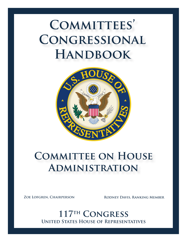

# **COMMITTEE ON HOUSE Administration**

**Zoe Lofgren, Chairperson Rodney Davis, Ranking Member**

**United States House of Representatives 117th Congress**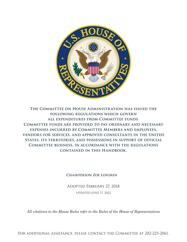

**The Committee on House Administration has issued the following regulations which govern all expenditures from Committee funds. Committee funds are provided to pay ordinary and necessary expenses incurred by Committee Members and employees, vendors for services, and approved consultants in the United States, its territories, and possessions in support of official Committee business, in accordance with the regulations contained in this Handbook.**

#### **Chairperson Zoe Lofgren**

Adopted February 27, 2018

UPDATED JUNE 17, 2022

*All citations to the House Rules refer to the Rules of the House of Representatives*

For additional assistance, please contact the Committee at 202-225-2061.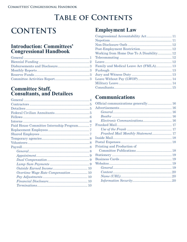# **TABLE OF CONTENTS**

# **CONTENTS**

### **Introduction: Committees' Congressional Handbook**

# **Committee Staff,<br>Consultants, and Detailees**

### **Employment Law**

| Working from Home Due To A Disability 12 |  |
|------------------------------------------|--|
|                                          |  |
|                                          |  |
|                                          |  |
|                                          |  |
|                                          |  |
|                                          |  |
|                                          |  |
|                                          |  |

## **Communications**

| Electronic Communications 16 |  |
|------------------------------|--|
|                              |  |
|                              |  |
|                              |  |
|                              |  |
|                              |  |
| Printing and Production of   |  |
|                              |  |
|                              |  |
|                              |  |
|                              |  |
|                              |  |
|                              |  |
|                              |  |
|                              |  |
|                              |  |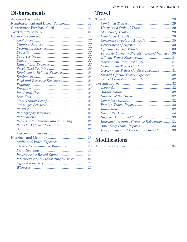## **[Disbursements](#page-24-0)**

| Reimbursement and Direct Payment22      |
|-----------------------------------------|
|                                         |
|                                         |
|                                         |
|                                         |
|                                         |
|                                         |
|                                         |
|                                         |
|                                         |
|                                         |
|                                         |
|                                         |
|                                         |
|                                         |
|                                         |
|                                         |
|                                         |
|                                         |
|                                         |
|                                         |
|                                         |
|                                         |
|                                         |
| Records Maintenance and Archiving 25    |
|                                         |
|                                         |
|                                         |
|                                         |
|                                         |
| Charts / Presentation Materials26       |
|                                         |
|                                         |
| Interpreting and Translating Services27 |
|                                         |
|                                         |
|                                         |

### **[Travel](#page-31-0)**

| Corporate or Private Aircraft 30               |
|------------------------------------------------|
|                                                |
|                                                |
| Privately-Owned / Privately-Leased Vehicles 30 |
|                                                |
|                                                |
|                                                |
| Government Travel Cardless Accounts31          |
| Shared Official Travel Expenses32              |
|                                                |
|                                                |
|                                                |
|                                                |
|                                                |
|                                                |
|                                                |
|                                                |
|                                                |
|                                                |
| Interparliamentary Group or Delegation33       |
|                                                |
| Foreign Gifts and Decorations Report 33        |
|                                                |

## **[Modifications](#page-37-0)**

|--|--|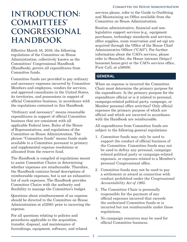## <span id="page-4-0"></span>**INTRODUCTION: COMMITTEES' CONGRESSIONAL HANDBOOK**

Effective March 16, 2016, the following regulations of the Committee on House Administration, collectively known as the Committees' Congressional Handbook (Handbook), govern all expenditures from Committee funds.

Committee funds are provided to pay ordinary and necessary expenses incurred by Committee Members and employees, vendors for services, and approved consultants in the United States, its territories, and possessions in support of official Committee business, in accordance with the regulations contained in this Handbook.

"Ordinary and necessary" means reasonable expenditures in support of official Committee business that are consistent with all applicable Federal laws, Rules of the House of Representatives, and regulations of the Committee on House Administration. The phrase "Committee funds" means funds made available to a Committee pursuant to primary and supplemental expense resolutions or allocated from the reserve fund.

The Handbook is compiled of regulations meant to assist Committee Chairs in determining whether expenses are reimbursable. Therefore, the Handbook contains broad descriptions of reimbursable expenses, but is not an exhaustive list of such expenses. The Handbook provides Committee Chairs with the authority and flexibility to manage the Committee's budget.

Questions about reimbursement of an expense should be directed to the Committee on House Administration at x52061 prior to incurring the expense.

For all questions relating to policies and procedures applicable to the acquisition, transfer, disposal, and maintenance of furnishings, equipment, software, and related services please, refer to the Guide to Outfitting and Maintaining an Office available from the Committee on House Administration.

Routine administrative, financial and nonlegislative support services (e.g., equipment purchases, technology standards and services, office supplies, room reservation and set-up) are acquired through the Office of the House Chief Administrative Officer ("CAO"). For further information about the CAO's services, please refer to HouseNet, the House intranet (https:// housenet.house.gov) or the CAO's services office, First Call, at x58000.

#### **GENERAL**

When an expense is incurred the Committee Chair must determine the primary purpose for the expenditure. Is the primary purpose for the expenditure official or is it related to personal, campaign-related political party, campaign, or Member personal office activities? Only official expenses the primary purpose of which are official and which are incurred in accordance with the Handbook are reimbursable.

All expenditures from Committee funds are subject to the following general regulations:

- 1. Committee funds may only be used to support the conduct of official business of the Committee. Committee funds may not be used to defray any personal, campaignrelated political party or campaign-related expenses, or expenses related to a Member's personal Congressional office.
- 2. Committee funds may not be used to pay a settlement or award in connection with conduct prohibited under the *Congressional Accountability Act of 1995*.
- 3. The Committee Chair is personally responsible for the payment of any official expenses incurred that exceeds the authorized Committee funds or is incurred but not reimbursable under these regulations.
- 4. No campaign resources may be used for official Committee business.

1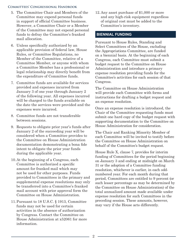- <span id="page-5-0"></span>5. The Committee Chair and Members of the Committee may expend personal funds in support of official Committee business. However, a Committee Chair or a Member of the Committee may not expend personal funds to defray the Committee's franked mail allocation.
- 6. Unless specifically authorized by an applicable provision of federal law, House Rules, or Committee Regulations, no Member of the Committee, relative of a Committee Member, or anyone with whom a Committee Member has a professional or legal relationship may directly benefit from the expenditure of Committee funds.
- 7. Committee funds are available for services provided and expenses incurred from January 3 of one year through January 2 of the following year. All expenses incurred will be charged to the funds available on the date the services were provided and the expenses were incurred.
- 8. Committee funds are not transferable between sessions.
- 9. Requests to obligate prior year's funds after January 2 of the succeeding year will be considered when a Committee provides to the Committee on House Administration documentation demonstrating a bona fide intent to obligate the prior year funds during the applicable year.
- 10.At the beginning of a Congress, each Committee is authorized a specific amount for franked mail which may not be used for other purposes. Funds provided to Committees in the primary and supplemental expense resolutions may only be transferred into a Committee's franked mail account with prior approval form the Committee on House Administration.
- 11.Pursuant to 18 U.S.C. § 1913, Committee funds may not be used for certain activities in the absence of authorization by Congress. Contact the Committee on House Administration at x52061 for more information.

12.Any asset purchase of \$1,000 or more and any high-risk equipment regardless of original cost must be added to the Committee's inventory.

#### **BIENNIAL FUNDING**

Pursuant to House Rules, Standing and Select Committees of the House, excluding the Appropriations Committee, are funded on a biennial basis. At the beginning of each Congress, each Committee must submit a budget request to the Committee on House Administration and introduce a primary expense resolution providing funds for the Committee's activities for each session of that Congress.

The Committee on House Administration will provide each Committee with forms and instructions for drafting a budget request and an expense resolution.

Once an expense resolution is introduced, the Chair of the Committee requesting funds must submit one hard copy of the budget request with supporting documentation to the Committee on House Administration for consideration.

The Chair and Ranking Minority Member of each Committee will be invited to testify before the Committee on House Administration on behalf of the Committee's budget request.

House Rule X, clause 7, provides for interim funding of Committees for the period beginning on January 3 and ending at midnight on March 31 or the adoption of a Committee funding resolution, whichever is earlier, in each oddnumbered year. For each month during that period, Committees are entitled to 9 percent (or such lesser percentage as may be determined by the Committee on House Administration) of the total annualized amount made available under expense resolution for such Committees in the preceding session. These amounts, however, may vary if the House acts differently.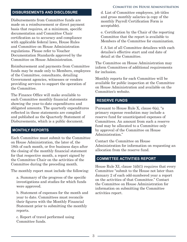#### <span id="page-6-0"></span>**DISBURSEMENTS AND DISCLOSURE**

Disbursements from Committee funds are made on a reimbursement or direct payment basis that requires, at a minimum, specific documentation and Committee Chair certification as to accuracy and compliance with applicable federal laws, House Rules and Committee on House Administration regulations. Please refer to Voucher Documentation Standards approved by the Committee on House Administration.

Reimbursement and payments from Committee funds may be made only to Members, employees of the Committee, consultants, detailing Government agencies, witnesses or vendors providing services to support the operation of the Committee.

The Finance Office will make available to each Committee monthly financial statements showing the year-to-date expenditures and obligated amounts. The quarterly expenditures reflected in these statements are compiled and published as the Quarterly Statement of Disbursements, which is a public document.

#### **MONTHLY REPORTS**

Each Committee must submit to the Committee on House Administration, the later of, the 18th of each month, or five business days after the closing of the monthly financial statement for that respective month, a report signed by the Committee Chair on the activities of the Committee during the preceding month.

The monthly report must include the following:

a. Summary of the progress of the specific investigations and studies for which funds were approved.

b. Statement of expenses for the month and year to date. Committees must reconcile their figures with the Monthly Financial Statement prior to submitting the monthly reports.

c. Report of travel performed using Committee funds.

d. List of Committee employees, job titles and gross monthly salaries (a copy of the monthly Payroll Certification Form is acceptable).

e. Certification by the Chair of the reporting Committee that the report is available to Members of the Committee for examination.

f. A list of all Committee detailees with each detailee's effective start and end date of detail at the Committee.

The Committee on House Administration may inform Committees of additional requirements for inclusion.

Monthly reports for each Committee will be available for public inspection at the Committee on House Administration and available on the Committee's website.

#### **RESERVE FUNDS**

Pursuant to House Rule X, clause 6(a), "a primary expense resolution may include a reserve fund for unanticipated expenses of Committees. An amount from such a reserve fund may be allocated to a Committee only by approval of the Committee on House Administration."

Contact the Committee on House Administration for information on requesting an allocation from the reserve fund.

#### **COMMITTEE ACTIVITIES REPORT**

House Rule XI, clause 1(d)(1) requires that every Committee "submit to the House not later than January 2 of each odd-numbered year a report on the activities of that Committee." Contact the Committee on House Administration for information on submitting the Committee activities report.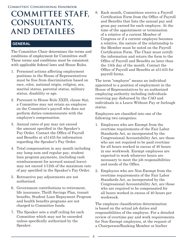# <span id="page-7-0"></span>**COMMITTEE STAFF, CONSULTANTS, AND DETAILEES**

#### **GENERAL**

The Committee Chair determines the terms and conditions of employment for Committee staff. These terms and conditions must be consistent with applicable federal laws and House Rules.

- 1. Personnel actions affecting employment positions in the House of Representatives must be free from discrimination based on race, color, national origin, religion, sex, marital status, parental status, military status, disability or age.
- 2. Pursuant to House Rule XXIII, clause 8(a), a Committee may not retain an employee on the Committee's payroll who does not perform duties commensurate with the employee's compensation.
- 3. Annual rates of pay may not exceed the amount specified in the Speaker's Pay Order. Contact the Office of Payroll and Benefits at x51435 for information regarding the Speaker's Pay Order.
- 4. Total compensation in any month including any lump sum and regular pay, student loan program payments, (including cash reimbursement for accrued annual leave) may not exceed 1/12th of the maximum rate of pay specified in the Speaker's Pay Order.
- 5. Retroactive pay adjustments are not authorized.
- 6. Government contributions to retirement, life insurance, Thrift Savings Plan, transit benefits, Student Loan Repayment Program and health benefits programs are not charged to Committee funds.
- 7. The Speaker sets a staff ceiling for each Committee which may not be exceeded unless specifically authorized by the Speaker.

8. Each month, Committees receive a Payroll Certification Form from the Office of Payroll and Benefits that lists the annual pay and gross pay earned for each employee. At the time of the appointment or termination of a relative of a current Member of Congress or if a current employee becomes a relative, the nature of the relationship to the Member must be noted on the Payroll Certification Form. The Chair must certify the information and return the form to the Office of Payroll and Benefits no later than the 15th day of the month. Contact the Office of Payroll and Benefits at x51435 for payroll forms.

The term "employee" means an individual appointed to a position of employment in the House of Representatives by an authorized employing authority including individuals receiving pay disbursed by the CAO and individuals in a Leave Without Pay or furlough status.

Employees are classified into one of the following two categories:

- 1. Employees who are Exempt from the overtime requirements of the Fair Labor Standards Act, as incorporated by the Congressional Accountability Act, are those who are not required to be paid overtime for all hours worked in excess of 40 hours in one workweek. Exempt employees are expected to work whatever hours are necessary to meet the job responsibilities and needs of the Office.
- 2. Employees who are Non-Exempt from the overtime requirements of the Fair Labor Standards Act, as incorporated by the Congressional Accountability Act, are those who are required to be compensated for all hours worked in excess of 40 hours per workweek.

The employee classification determination is based on the actual job duties and responsibilities of the employee. For a detailed review of overtime pay and work requirements for Non-Exempt employees, at the request of a Chairperson/Ranking Member or his/her

4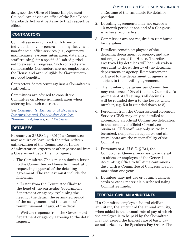<span id="page-8-0"></span>designee, the Office of House Employment Counsel can advise an office of the Fair Labor Standards Act as it pertains to that respective office.

#### **CONTRACTORS**

Committees may contract with firms or individuals only for general, non-legislative and non-financial office services (e.g., equipment maintenance, systems integration, data entry, staff training) for a specified limited period not to exceed a Congress. Such contracts are reimbursable. Contractors are not employees of the House and are ineligible for Governmentprovided benefits.

Contractors do not count against a Committee's staff ceiling.

Committees are advised to consult the Committee on House Administration when entering into such contracts.

*See [Consultants,](#page-16-0) [Educational Expenses](#page-24-0), [Interpreting and Translation Services](#page-28-0), [Temporary Agencies,](#page-10-0) and [Websites.](#page-21-0)*

#### **DETAILEES**

Pursuant to 2 U.S.C. § 4301(f) a Committee may acquire on loan, with the prior written authorization of the Committee on House Administration, experts or other personnel from a Government department or agency.

1. The Committee Chair must submit a letter to the Committee on House Administration requesting approval of the detailing agreement. The request must include the following:

a. Letter from the Committee Chair to the head of the particular Government department or agency explaining the need for the detail, the estimated period of the assignment, and the terms of reimbursement, if any, of the detail.

b. Written response from the Government department or agency agreeing to the detail request.

c. Resume of the candidate for detailee position.

- 2. Detailing agreements may not exceed a 12-month period or the end of a Congress, whichever occurs first.
- 3. Committees are not required to reimburse for detailees.
- 4. Detailees remain employees of the detailing department or agency, and are not employees of the House. Therefore, any travel by detailees will be undertaken pursuant to the authority of the detailing department or agency. Reimbursement of travel to the department or agency is subject to the detailing agreement.
- 5. The number of detailees per Committee may not exceed 10% of the host Committee's permanent staff ceiling. (All decimals will be rounded down to the lowest whole number, e.g. 5.9 is rounded down to 5).
- 6. Personnel from the Congressional Research Service (CRS) may only be detailed to accompany an official Committee delegation in the conduct of official Committee business. CRS staff may only serve in a technical, nonpartisan capacity, and all travel costs are the responsibility of the Committee.
- 7. Pursuant to 31 U.S.C. § 734, the Comptroller General may assign or detail an officer or employee of the General Accounting Office to full-time continuous duty with a Committee of Congress for not more than one year.
- 8. Detailees may not use or obtain business cards or other materials purchased using Committee funds.

#### **FEDERAL CIVILIAN ANNUITANTS**

If a Committee employs a federal civilian annuitant, the amount of the annual annuity, when added to the annual rate of pay at which the employee is to be paid by the Committee, may not exceed the highest rate of basic pay as authorized by the Speaker's Pay Order. The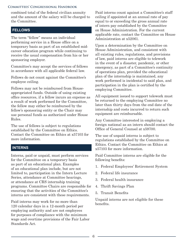<span id="page-9-0"></span>combined total of the federal civilian annuity and the amount of the salary will be charged to the Committee.

#### **FELLOWS**

The term "fellow" means an individual performing service in a House office on a temporary basis as part of an established midcareer education program while continuing to receive the usual compensation from his or her sponsoring employer.

Committee's may accept the services of fellows in accordance with all applicable federal law.

Fellows do not count against the Committee's employee ceiling.

Fellows may not be reimbursed from Houseappropriated funds. Outside of using existing office resources, if a fellow incurs an expense as a result of work performed for the Committee, the fellow may either be reimbursed by the fellow's sponsoring entity or the Chair may use personal funds as authorized under House Rules.

The use of fellows is subject to regulations established by the Committee on Ethics. Contact the Committee on Ethics at x57103 for more information.

#### **INTERNS**

Interns, paid or unpaid, must perform services for the Committee on a temporary basis as part of an educational plan. Examples of an educational plan include, but are not limited to, participation in the Intern Lecture Series, attendance at Committee hearings, or attendance at CRS internship training programs. Committee Chairs are responsible for ensuring that the activities of the Committee's interns are consistent with these requirements.

Paid interns may work for no more than 120 calendar days in a 12-month period per employing authority and are not employees for purposes of compliance with the minimum wage and overtime provisions of the Fair Labor Standards Act.

Paid interns count against a Committee's staff ceiling if appointed at an annual rate of pay equal to or exceeding the gross annual rate of intern pay established by the Committee on House Administration. For the current applicable rate, contact the Committee on House Administration at x52061.

Upon a determination by the Committee on House Administration, and consistent with all existing rules, regulations, and provisions of law, paid interns are eligible to telework in the event of a disaster, pandemic, or other emergency, as part of a Committee's continuity of operations plan, provided the educational plan of the internship is maintained, any work performed is incidental to said plan, and participation in the plan is certified by the employing Committee.

All equipment issued to support telework must be returned to the employing Committee no later than thirty days from the end date of the internship and costs incurred to return such equipment are reimbursable.

Any Committee interested in employing a foreign national as an intern should contact the Office of General Counsel at x59700.

The use of unpaid interns is subject to regulations established by the Committee on Ethics. Contact the Committee on Ethics at x57103 for more information.

Paid Committee interns are eligible for the following benefits:

- 1. Federal Employees' Retirement System
- 2. Federal life insurance
- 3. Federal health insurance
- 4. Thrift Savings Plan
- 5. Transit Benefits

Unpaid interns are not eligible for these benefits.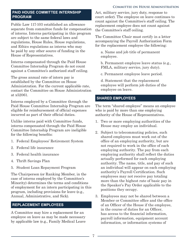#### <span id="page-10-0"></span>**PAID HOUSE COMMITTEE INTERNSHIP PROGRAM**

Public Law 117-103 established an allowance separate from committee funds for compensation of interns. Interns participating in this program are subject to the same federal laws and regulations, House Rules, House regulations, and Ethics regulations as interns who may be paid by any other source of funding in the House of Representatives.

Interns compensated through the Paid House Committee Internship Program do not count against a Committee's authorized staff ceiling.

The gross annual rate of intern pay is established by the Committee on House Administration. For the current applicable rate, contact the Committee on House Administration at x52061.

Interns employed by a Committee through the Paid House Committee Internship Program are eligible for reimbursement of official expenses incurred as part of their official duties.

Unlike interns paid with Committee funds, interns compensated through the Paid House Committee Internship Program are ineligible for the following benefits:

- 1. Federal Employees' Retirement System
- 2. Federal life insurance
- 3. Federal health insurance
- 4. Thrift Savings Plan
- 5. Student Loan Repayment Program

The Chairperson (or Ranking Member, in the case of interns employed by the Committee's Minority) determines the terms and conditions of employment for an intern participating in this program, including provisions for leave (e.g., Annual, Administrative, and Sick).

#### **REPLACEMENT EMPLOYEES**

A Committee may hire a replacement for an employee on leave as may be made necessary by applicable law (e.g., Family Medical Leave Act, military service, jury duty, response to court order). The employee on leave continues to count against the Committee's staff ceiling. The replacement employee does not count against the Committee's staff ceiling.

The Committee Chair must certify in a letter accompanying the Payroll Authorization Form for the replacement employee the following:

a. Name and job title of permanent employee.

b. Permanent employee leave status (e.g., FMLA, military service, jury duty).

c. Permanent employee leave period.

d. Statement that the replacement employee will perform job duties of the employee on leave.

#### **SHARED EMPLOYEES**

The term "shared employee" means an employee who is paid by more than one employing authority of the House of Representatives.

- 1. Two or more employing authorities of the House may employ an individual.
- 2. Subject to telecommuting policies, such shared employees must work out of the office of an employing authority, but are not required to work in the office of each employing authority. The pay from each employing authority shall reflect the duties actually performed for each employing authority. The name, title, and pay of such an individual will appear on each employing authority's Payroll Certification. Such employees may not receive pay totaling more than the highest rate of basic pay in the Speaker's Pay Order applicable to the positions they occupy.
- 3. Employees may not be shared between a Member or Committee office and the office of an Officer of the House if the employee, in the course of duties for an Officer, has access to the financial information, payroll information, equipment account information, or information systems of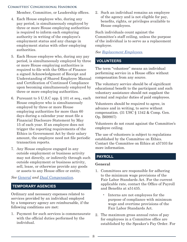<span id="page-11-0"></span>Member, Committee, or Leadership offices.

- 4. Each House employee who, during any pay period, is simultaneously employed by three or more House employing authorities is required to inform each employing authority in writing of the employee's employment status and any change in employment status with other employing authorities.
- 5. Each House employee who, during any pay period, is simultaneously employed by three or more House employing authorities is required to file with the Office of Finance a signed Acknowledgment of Receipt and Understanding of Shared Employee Manual and Certification of Continued Compliance upon becoming simultaneously employed by three or more employing authorities.
- 6. Pursuant to 5 U.S.C app. § 101 et seq., each House employee who is simultaneously employed by three or more House employing authorities for more than 60 days during a calendar year must file a Financial Disclosure Statement by May 15 of each year. If an employee does not trigger the reporting requirements of the Ethics in Government Act by their salary amount, the employee need not file periodic transaction reports.
- 7. Any House employee engaged in any outside employment or business activity may not directly, or indirectly through such outside employment or business activity, sell, lease, or otherwise provide any goods or assets to any House office or entity.

*See [General](#page-6-0) and Dual Compensation.*

#### **TEMPORARY AGENCIES**

Ordinary and necessary expenses related to services provided by an individual employed by a temporary agency are reimbursable, if the following conditions are met:

1. Payment for such services is commensurate with the official duties performed by the individual.

2. Such an individual remains an employee of the agency and is not eligible for pay, benefits, rights, or privileges available to House employees.

Such individuals count against the Committee's staff ceiling, unless the purpose of the individual is to serve as a replacement employee.

*See [Replacement Employees.](#page-9-0)*

#### **VOLUNTEERS**

The term "volunteer" means an individual performing service in a House office without compensation from any source.

The voluntary service should be of significant educational benefit to the participant and such voluntary assistance should not supplant the normal and regular duties of paid employees.

Volunteers should be required to agree, in advance and in writing, to serve without compensation. (31 USC § 1342 & Comp. Gen. Op. B69907)

Volunteers do not count against the Committee's employee ceiling.

The use of volunteers is subject to regulations established by the Committee on Ethics. Contact the Committee on Ethics at x57103 for more information.

#### **PAYROLL**

#### **General**

- 1. Committees are responsible for adhering to the minimum wage provisions of the Fair Labor Standards Act. For the current applicable rate, contact the Office of Payroll and Benefits at x51435.
	- Interns are not employees for the purpose of compliance with minimum wage and overtime provisions of the Fair Labor Standards Act.
- 2. The maximum gross annual rates of pay for employees in a Committee office are established by the Speaker's Pay Order. For
- 8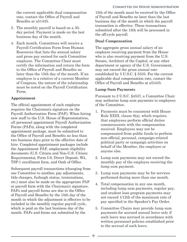<span id="page-12-0"></span>the current applicable dual compensation rate, contact the Office of Payroll and Benefits at x51435.

- 3. The monthly payroll is based on a 30 day period. Payment is made on the last business day of the month.
- 4. Each month, Committees will receive a Payroll Certification Form from Human Resources that lists the annual salary and gross pay earned for each Committee employee. The Committee Chair must certify the information and return the form to the Office of Payroll and Benefits no later than the 15th day of the month. If an employee is a relative of a current Member of Congress, the nature of the relationship must be noted on the Payroll Certification Form.

#### **Appointment**

The official appointment of each employee requires the Chairman's signature on the Payroll Authorization Form (PAF). When hiring new staff to the U.S. House of Representatives, all personnel appointment Payroll Authorization Forms (PAFs), along with the completed appointment package, must be submitted to the Office of Payroll and Benefits no less than two business days prior to the effective date of hire. Completed appointment packages include the Appointment PAF, employment eligibility documents (U.S. Citizen and Non-U.S. Citizen Requirements), Form I-9, Direct Deposit, W4, TSP-1 enrollment form, and Oath of Office.

Subsequent payroll transactions (changing from one Committee to another, pay adjustments, title changes, furlough status, terminations, etc.) must also be made on the appropriate PAF or payroll form with the Chairman's signature. PAFs and payroll forms are due to the Office of Payroll and Benefits by the 15th day of the month in which the adjustment is effective to be included in the monthly regular payroll cycle, which is paid on the last business day of the month. PAFs and forms not submitted by the

15th of the month must be received by the Office of Payroll and Benefits no later than the last business day of the month in which the payroll transaction is effective. These transactions submitted after the 15th will be processed in the off-cycle payroll.

#### **Dual Compensation**

The aggregate gross annual salary of an employee receiving payment from the House who is also receiving payment from the U.S. Senate, Architect of the Capitol, or any other department or agency of the U.S. Government, may not exceed the gross annual rate established by 5 U.S.C. § 5533. For the current applicable dual compensation rate, contact the Office of Payroll and Benefits at x51435.

#### **Lump Sum Payments**

Pursuant to 2 U.S.C. §4537, a Committee Chair may authorize lump sum payments to employees of the Committee.

- 1. Payments must be consistent with House Rule XXIII, clause 8(a), which requires that employees perform official duties commensurate with the compensation received. Employees may not be compensated from public funds to perform non-official, personal, campaign-related political party or campaign activities on behalf of the Member, the employee or anyone else.
- 2. Lump sum payments may not exceed the monthly pay of the employee receiving the lump sum payment.
- 3. Lump sum payments may be for services performed during more than one month.
- 4. Total compensation in any one month, including lump sum payments, regular pay, and student loan program payments may not exceed 1/12th of the maximum rate of pay specified in the Speaker's Pay Order.
- 5. Committee Chairs may provide lump sum payments for accrued annual leave only if such leave was accrued in accordance with written personnel policies established prior to the accrual of such leave.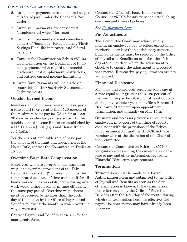- <span id="page-13-0"></span>6. Lump sum payments are considered as part of "rate of pay" under the Speaker's Pay Order.
- 7. Lump sum payments are considered "supplemental wages" for taxation.
- 8. Lump sum payments are not considered as part of "basic pay" for calculating Thrift Savings Plan, life insurance, and federal pensions.
- 9. Contact the Committee on Ethics x57103 for information on the treatment of lump sum payments with regard to financial disclosure, post-employment restrictions, and outside earned income limitations.
- 10.Lump Sum Payments will be disclosed separately in the Quarterly Statement of Disbursements.

#### **Outside Earned Income**

Members and employees receiving basic pay at a rate equal to or greater than 120 percent of the minimum basic pay for GS-15 for at least 90 days in a calendar year are subject to the outside earned income limitation established by 5 U.S.C. app 4 § 501 (a)(1) and House Rule 25, cl. 1 (a)(1).

For the current applicable rate of basic pay, the amount of the limit and application of the House Rule, contact the Committee on Ethics at x57103.

#### **Overtime Wage Rate Compensation**

Employees who are covered by the minimum wage and overtime provisions of the Fair Labor Standards Act ("non-exempt") must be compensated at a rate of time-and-a half for all hours worked in excess of 40 hours during any work week, either in pay or in time-off during the same pay period. Overtime wage sheets must be received by no later than the 15th day of the month by the Office of Payroll and Benefits following the month in which overtime wages were earned.

Contact Payroll and Benefits at x51435 for the appropriate forms.

Contact the Office of House Employment Counsel at x57075 for assistance in establishing overtime and time-off policies.

#### *See [Employment Law](#page-12-0).*

#### **Pay Adjustments**

The Committee Chair may adjust, in any month, an employee's pay to reflect exceptional, meritorious, or less than satisfactory service. Such adjustments must be received by the Office of Payroll and Benefits on or before the 15th day of the month in which the adjustment is effective to ensure the adjustment is processed that month. Retroactive pay adjustments are not authorized.

#### **Financial Disclosure**

Members and employees receiving basic pay at a rate equal to or greater than 120 percent of the minimum pay for GS-15 for at least 60 days during any calendar year must file a Financial Disclosure Statement upon appointment, termination, and annually on May 15th.

Ordinary and necessary expenses incurred by employees, in support of the filing of reports consistent with the provisions of the Ethics in Government Act and the STOCK Act, are reimbursable at the discretion of the Chair of the Committee.

Contact the Committee on Ethics at x57103 for guidance concerning the current applicable rate of pay and other information regarding Financial Disclosure requirements.

#### **Terminations**

Terminations must be made on a Payroll Authorization Form and submitted to the Office of Payroll and Benefits as soon as the date of termination is known. If the termination notice is received by the Office of Payroll and Benefits after the 15th day of the month during which the termination becomes effective, the payroll for that month may have already been processed.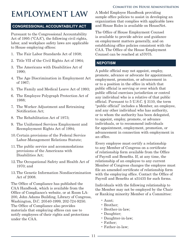# <span id="page-14-0"></span>**EMPLOYMENT LAW**

#### **CONGRESSIONAL ACCOUNTABILITY ACT**

Pursuant to the Congressional Accountability Act of 1995 ("CAA"), the following civil rights, labor, and workplace safety laws are applicable to House employing offices:

- 1. The Fair Labor Standards Act of 1938;
- 2. Title VII of the Civil Rights Act of 1964;
- 3. The Americans with Disabilities Act of 1990;
- 4. The Age Discrimination in Employment Act of 1967;
- 5. The Family and Medical Leave Act of 1993;
- 6. The Employee Polygraph Protection Act of 1988;
- 7. The Worker Adjustment and Retraining Notification Act;
- 8. The Rehabilitation Act of 1973;
- 9. The Uniformed Services Employment and Reemployment Rights Act of 1994;
- 10.Certain provisions of the Federal Service Labor-Management Relations Statute;
- 11.The public service and accommodations provisions of the Americans with Disabilities Act;
- 12.The Occupational Safety and Health Act of 1970; and
- 13.The Genetic Information Nondiscrimination Act of 2008.

The Office of Compliance has published the CAA Handbook, which is available from the Office of Compliance's website, or at Room LA-200, John Adams Building, Library of Congress, Washington, D.C. 20540-1999, 202-724-9250. The Office of Compliance also provides materials that employing offices can use to notify employees of their rights and protections under the CAA.

A Model Employee Handbook providing sample office policies to assist in developing an organization that complies with applicable laws and House Rules is available on HouseNet.

The Office of House Employment Counsel is available to provide advice and guidance on employment matters generally, and on establishing office policies consistent with the CAA. The Office of the House Employment Counsel can be reached at x57075.

#### **NEPOTISM**

A public official may not appoint, employ, promote, advance or advocate for appointment, employment, promotion, or advancement in or to a position in the office in which that public official is serving or over which that public official exercises jurisdiction or control any individual who is a relative of that public official. Pursuant to 5 U.S.C. § 3110, the term "public official" includes a Member, an employee, and any other individual who has authority, or to whom the authority has been delegated, to appoint, employ, promote, or advance individuals, or to recommend individuals for appointment, employment, promotion, or advancement in connection with employment in an office.

Every employee must certify a relationship to any Member of Congress on a certificate of relationship form available from the Office of Payroll and Benefits. If, at any time, the relationship of an employee to any current Member of Congress changes the employee must file an amended certificate of relationship form with the employing office. Contact the Office of Payroll and Benefits at x51435 for such forms.

Individuals with the following relationship to the Member may not be employed by the Chair or Ranking minority Member of a Committee:

- Aunt;
- Brother;
- Brother-in-law;
- Daughter;
- Daughter-in-law;
- Father;
- Father-in-law;

- 11 -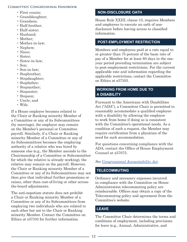- <span id="page-15-0"></span>• First cousin;
- Granddaughter;
- Grandson;
- Half-brother;
- Half-sister;
- Husband;
- Mother:
- Mother-in-law;
- Nephew;
- Niece;
- Sister;
- Sister-in-law;
- Son;
- Son-in-law;
- Stepbrother;
- Stepdaughter;
- Stepfather;
- Stepmother;
- Stepsister;
- Stepson;
- Uncle; and
- Wife.

If a House employee becomes related to the Chair or Ranking minority Member of a Committee or any of its Subcommittees (by marriage), the employee may remain on the Member's personal or Committee payroll. Similarly, if a Chair or Ranking minority Member of a Committee or any of its Subcommittees becomes the employing authority of a relative who was hired by someone else (e.g., the Member ascends to the Chairmanship of a Committee or Subcommittee for which the relative is already working), the relative may remain on the payroll. However, the Chair or Ranking minority Member of a Committee or any of its Subcommittees may not then give that individual further promotions or raises, other than cost-of-living or other acrossthe-board adjustments.

The anti-nepotism statute does not prohibit a Chair or Ranking minority Member of a Committee or any of its Subcommittees from employing two individuals who are related to each other but not to the Chair or Ranking minority Member. Contact the Committee on Ethics at x57103 for further information.

#### **NON-DISCLOSURE OATH**

House Rule XXIII, clause 13, requires Members and employees to execute an oath of nondisclosure before having access to classified information.

#### **POST-EMPLOYMENT RESTRICTION**

Members and employees paid at a rate equal to or greater than 75 percent of the basic rate of pay of a Member for at least 60 days in the oneyear period preceding termination are subject to post-employment restrictions. For the current applicable rate and information regarding the applicable restrictions, contact the Committee on Ethics at x57103.

#### **WORKING FROM HOME DUE TO A DISABILITY**

Pursuant to the Americans with Disabilities Act ("ADA"), a Committee Chair is permitted to reasonably accommodate a qualified employee with a disability by allowing the employee to work from home if doing so is consistent with the Committee's operational needs. As a condition of such a request, the Member may require certification from a physician of the need for such accommodation.

For questions concerning compliance with the ADA, contact the Office of House Employment Counsel at x57075.

#### *See [Congressional Accountability Act](#page-12-0).*

#### **TELECOMMUTING**

Ordinary and necessary expenses incurred in compliance with the Committee on House Administration telecommuting policy are reimbursable. Offices may obtain a copy of the Telecommuting policy and agreement from the Committee's website.

#### **LEAVE**

The Committee Chair determines the terms and conditions of employment, including provisions for leave (e.g., Annual, Administrative, and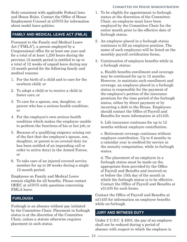<span id="page-16-0"></span>Sick) consistent with applicable Federal laws and House Rules. Contact the Office of House Employment Counsel at x57075 for information about model leave policies.

#### **FAMILY AND MEDICAL LEAVE ACT (FMLA)**

Pursuant to the Family and Medical Leave Act ("FMLA"), a person employed by a Congressional office for at least one year and for a total of at least 1,250 hours during the previous 12-month period is entitled to up to a total of 12 weeks of unpaid leave during any 12-month period for the following family and medical reasons:

- 1. For the birth of a child and to care for the newborn child; or
- 2. To adopt a child or to receive a child in foster care; or
- 3. To care for a spouse, son, daughter, or parent who has a serious health condition; or
- 4. For the employee's own serious health condition which makes the employee unable to perform the functions of his or her job; or
- 5. Because of a qualifying exigency arising out of the fact that the employee's spouse, son, daughter, or parent is on covered duty (or has been notified of an impending call or order to active duty) in the Armed Forces; or
- 6. To take care of an injured covered service member for up to 26 weeks during a single 12-month period.

Employees on Family and Medical Leave remain eligible for all benefits. Please contact OHEC at x57075 with questions concerning FMLA leave.

#### **FURLOUGH**

Furlough is an absence without pay initiated by the Committee Chair. Placement in furlough status is at the discretion of the Committee Chair, unless a statute otherwise requires placement in such status.

- 1. To be eligible for appointment to furlough status at the discretion of the Committee Chair, an employee must have been employed by the Committee Chair for the entire month prior to the effective date of furlough status.
- 2. An employee placed in a furlough status continues to fill an employee position. The name of such employees will be listed on the monthly payroll certification forms.
- 3. Continuation of employee benefits while in a furlough status:

a. Health benefits enrollment and coverage may be continued for up to 12 months. However, to maintain such enrollment and coverage, an employee placed in a furlough status is responsible for the payment of the employee's portion of the insurance premium for the time period of the furlough status, either by direct payment or by incurring a debt to the House. Employees should contact the Office of Payroll and Benefits for more information at x51435.

b. Life insurance continues for up to 12 months without employee contribution.

c. Retirement coverage continues without employee contribution. Up to 6 months in a calendar year is credited for service in the annuity computation, while in furlough status.

d. The placement of an employee in a furlough status must be made on the appropriate form provided by the Office of Payroll and Benefits and received on or before the 15th day of the month in which the furlough status is to be effective. Contact the Office of Payroll and Benefits at x51435 for such forms.

Contact the Office of Payroll and Benefits at x51435 for information on employee benefits while on furlough.

#### **JURY AND WITNESS DUTY**

Under 2 U.S.C. § 4503, the pay of an employee shall not be reduced during a period of absence with respect to which the employee is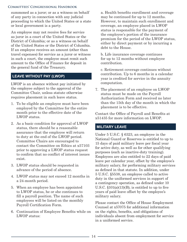<span id="page-17-0"></span>summoned as a juror; or as a witness on behalf of any party in connection with any judicial proceeding to which the United States or a state or local government is a party.

An employee may not receive fees for service as juror in a court of the United States or the District of Columbia; or as a witness on behalf of the United States or the District of Columbia. If an employee receives an amount (other than travel expenses) for service as a juror or witness in such a court, the employee must remit such amount to the Office of Finance for deposit in the general fund of the Treasury.

#### **LEAVE WITHOUT PAY (LWOP)**

LWOP is an absence without pay initiated by the employee subject to the approval of the Committee Chair, unless statute otherwise requires placement in such leave status.

- 1. To be eligible an employee must have been employed by the Committee for the entire month prior to the effective date of the LWOP status.
- 2. As a basic condition for approval of LWOP status, there should be a reasonable assurance that the employee will return to duty at the end of the LWOP period. Committee Chairs are encouraged to contact the Committee on Ethics at x57103 prior to approving a LWOP status request to confirm that no conflict of interest issues exist.
- 3. LWOP status should be requested in advance of the period of absence.
- 4. LWOP status may not exceed 12 months in a 24-month period.
- 5. When an employee has been appointed to LWOP status, he or she continues to fill a payroll position. The name of such employees will be listed on the monthly Payroll Certification Form.
- 6. Continuation of Employee Benefits while on LWOP status:

a. Health benefits enrollment and coverage may be continued for up to 12 months. However, to maintain such enrollment and coverage, an employee placed in LWOP status is responsible for the payment of the employee's portion of the insurance premium for the period of the LWOP status, either by direct payment or by incurring a debt to the House.

b. Life insurance coverage continues for up to 12 months without employee contribution.

c. Retirement coverage continues without contribution. Up to 6 months in a calendar year is credited for service in the annuity computation.

7. The placement of an employee on LWOP status must be made on the Payroll Authorization Form and received no later than the 15th day of the month in which the placement is to be effective.

Contact the Office of Payroll and Benefits at x51435 for more information on LWOP.

#### **MILITARY LEAVE**

Under 5 U.S.C. § 6323, an employee in the National Guard or Reserves is entitled to up to 15 days of paid military leave per fiscal year for active duty, as well as for other qualifying purposes (such as inactive-duty training). Employees are also entitled to 22 days of paid leave per calendar year, offset by the employee's military salary, for performing military services as defined in that statute. In addition, under 5 U.S.C. §5538, an employee called to active duty in the uniformed services in support of a contingency operation, as defined under 10 U.S.C.  $$101(a)(13)(B)$ , is entitled to up to five years of paid leave offset by the employee's military salary.

Please contact the Office of House Employment Counsel at x57075 for additional information on the rights, benefits, and obligations of individuals absent from employment for service in a uniformed service.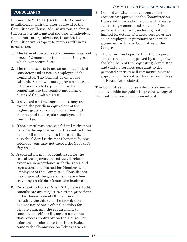#### <span id="page-18-0"></span> **CONSULTANTS**

Pursuant to 2 U.S.C. § 4301, each Committee is authorized, with the prior approval of the Committee on House Administration, to obtain temporary or intermittent services of individual consultants or organizations, to advise the Committee with respect to matters within its jurisdiction.

- 1. The term of the contract agreement may not exceed 12 months or the end of a Congress, whichever occurs first.
- 2. The consultant is to act as an independent contractor and is not an employee of the Committee. The Committee on House Administration will not approve a contract if the services to be provided by the consultant are the regular and normal duties of Committee staff.
- 3. Individual contract agreements may not exceed the per diem equivalent of the highest gross rate of compensation that may be paid to a regular employee of the Committee.
- 4. If the consultant receives federal retirement benefits during the term of the contract, the sum of all money paid to that consultant plus the federal retirement benefits for the calendar year may not exceed the Speaker's Pay Order.
- 5. A consultant may be reimbursed for the cost of transportation and travel-related expenses in accordance with the rates and regulations established for Members and employees of the Committee. Consultants may travel at the government rate when traveling on official Committee business.
- 6. Pursuant to House Rule XXIII, clause 18(b), consultants are subject to certain provisions of the House Code of Official Conduct, including the gift rule, the prohibition against use of one's official position for private gain, and the requirement to conduct oneself at all times in a manner that reflects creditably on the House. For information relative to the House Rules, contact the Committee on Ethics at x57103.
- 7. Committee Chair must submit a letter requesting approval of the Committee on House Administration along with a signed contract agreement and resume of the proposed consultant, including, but not limited to, details of federal service either as an employee or pursuant to contract agreement with any Committee of the Congress.
- 8. The letter must specify that the proposed contract has been approved by a majority of the Members of the requesting Committee and that no services pursuant to the proposed contract will commence prior to approval of the contract by the Committee on House Administration.

The Committee on House Administration will make available for public inspection a copy of the qualifications of each consultant.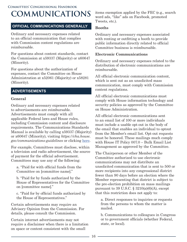#### <span id="page-19-0"></span>**OFFICIAL COMMUNICATIONS GENERALLY**

Ordinary and necessary expenses related to an official communication that complies with Commission content regulations are reimbursable.

For questions about content standards, contact the Commission at x59337 (Majority) or x60647 (Minority).

For questions about the authorization of expenses, contact the Committee on House Administration at x52061 (Majority) or x58281 (Minority).

#### **ADVERTISEMENTS**

#### **General**

Ordinary and necessary expenses related to advertisements are reimbursable. Advertisements must comply with all applicable Federal laws and House rules, including Commission content and disclosure requirements. The Communications Standards Manual is available by calling x59337 (Majority) or x60647 (Minority), visiting *https://cha.house. gov/communications-guidelines* or clicking here.

For example, Committees must disclose, within a television and radio advertisement, the source of payment for the official advertisement. Committees may use any of the following:

a. "Paid for with official funds from the Committee on [committee name]."

b. "Paid for by funds authorized by the House of Representatives for the Committee on [committee name]."

c. "Paid for by official funds authorized by the House of Representatives."

Certain advertisements may require an Advisory Opinion from the Commission. For details, please consult the Commission.

Certain internet advertisements may not require a disclaimer when there is a limitation on space or content consistent with the small

items exemption applied by the FEC (e.g., search word ads, "like" ads on Facebook, promoted Tweets, etc.).

#### **Booths**

Ordinary and necessary expenses associated with renting or outfitting a booth to provide public information directly related to official Committee business is reimbursable.

#### **Electronic Communications**

Ordinary and necessary expenses related to the distribution of electronic communications are reimbursable.

All official electronic communication content, which is sent out as an unsolicited mass communication, must comply with Commission content regulations.

All official electronic communications must comply with House information technology and security policies as approved by the Committee on House Administration.

All official electronic communications sent to an email list of 100 or more individuals must include a usable opt-out in the body of the email that enables an individual to optout from the Member's email list. Opt-out requests must be honored. These mailings much comply with House IT Policy 007.0 – Bulk Email List Management as approved by the Committee.

The Chairperson or other Member of the Committee authorized to use electronic communications may not distribute an unsolicited communication that is sent to 500 or more recipients into any congressional district fewer than 90 days before an election where the Member representing that district is subject to the pre-election prohibition on mass mailings pursuant to 39 U.S.C.  $\S$  3210(a)(6)(A), except that this restriction does not apply to:

a. Direct responses to inquiries or requests from the persons to whom the matter is mailed.

b. Communications to colleagues in Congress or to government officials (whether Federal, state, or local).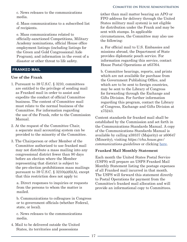<span id="page-20-0"></span>c. News releases to the communications media.

d. Mass communications to a subscribed list of recipients.

e. Mass communications related to officially-sanctioned Competitions, Military Academy nominations, official House office employment listings (including listings for the Green and Gold Congressional Aide Program), and information in the event of a disaster or other threat to life safety.

#### **FRANKED MAIL**

#### **Use of the Frank**

- 1. Pursuant to 39 U.S.C. § 3210, committees are entitled to the privilege of sending mail as Franked mail in order to assist and expedite the conduct of official Committee business. The content of Committee mail must relate to the normal business of the Committee. For information regarding the use of the Frank, refer to the Commission Manual.
- 2. At the request of the Committee Chair, a separate mail accounting system can be provided to the minority of the Committee.
- 3. The Chairperson or other Member of the Committee authorized to use franked mail may not distribute a mass mailing into any congressional district fewer than 90 days before an election where the Member representing that district is subject to the pre-election prohibitionon mass mailings pursuant to 39 U.S.C.  $\S$  3210(a)(6)(A), except that this restriction does not apply to:

a. Direct responses to inquiries or requests from the persons to whom the matter is mailed.

b. Communications to colleagues in Congress or to government officials (whether Federal, state, or local).

c. News releases to the communications media.

4. Mail to be delivered outside the United States, its territories and possessions

(other than mail matter bearing an APO or FPO address for delivery through the United States military mail system) is not eligible for distribution under the Frank and may be sent with stamps. In applicable circumstances, the Committee may also use the following:

a. For official mail to U.S. Embassies and missions abroad, the Department of State provides diplomatic pouch service. For information regarding this service, contact House Postal Operations at x63764.

b. Committee hearings, reports, and prints which are not available for purchase from the Government Publishing Office, and which are to be sent to foreign countries, may be sent to the Library of Congress for forwarding through the Exchange and Gifts Division. For further information regarding this program, contact the Library of Congress, Exchange and Gifts Division at x75243.

Content standards for franked mail shall be established by the Commission and set forth in the Communications Standards Manual. A copy of the Communications Standards Manual is available by calling x59337 (Majority) or x60647 (Minority), visiting *https://cha.house.gov/ communications-guidelines* or clicking here.

#### **Franked Mail Monthly Statement**

Each month the United States Postal Service (USPS) will prepare an USPS Franked Mail Monthly Statement listing the postage expenses of all Franked mail incurred in that month. The USPS will forward this statement directly to Postal Operations for payment from the Committee's franked mail allocation and will provide an informational copy to Committees.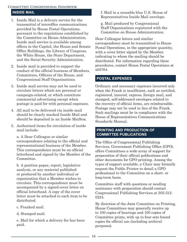#### <span id="page-21-0"></span>**Committees' Congressional Handbook INSIDE MAIL**

- 1. Inside Mail is a delivery service for the transmittal of interoffice communications provided by House Postal Operations, pursuant to the regulations established by the Committee on House Administration. Inside mail service is available among offices in the Capitol, the House and Senate Office Buildings, the Library of Congress, the White House, the State Department, and the Social Security Administration.
- 2. Inside mail is provided to support the conduct of the official business of Members, Committees, Officers of the House, and Congressional Staff Organizations.
- 3. Inside mail service may not be used to circulate letters which are personal or campaign-related, or which constitute commercial advertising except when postage is paid for with personal expenses.
- 4. All mail to be delivered via inside mail should be clearly marked Inside Mail and should be deposited in an Inside Mailbox.
- 5. Authorized items for circulation of inside mail include:

a. A Dear Colleague or similar correspondence relating to the official and representational business of the Member. This correspondence must be on official letterhead and signed by the Member of the Committee.

b. A position paper, report, legislative analysis, or any material published or produced by another individual or organization that a Member wishes to circulate. This correspondence must be accompanied by a signed cover letter on official letterhead. A copy of the cover letter must be attached to each item to be distributed.

- c. Franked mail.
- d. Stamped mail.

e. Mail for which a delivery fee has been paid.

f. Mail in a reusable blue U.S. House of Representatives Inside Mail envelope.

g. Mail produced by Congressional Staff Organizations registered with the Committee on House Administration.

Dear Colleague letters and similar correspondence must be transmitted to House Postal Operations, in the appropriate quantity, with a cover letter signed by the Member, indicating to whom the mailing should be distributed. For information regarding these procedures, contact House Postal Operations at x63764.

#### **POSTAL EXPENSES**

Ordinary and necessary expenses incurred only when the Frank is insufficient, such as certified, registered, insured, express, foreign mail, and stamped, self-addressed envelopes related to the recovery of official items, are reimbursable. Postage may not be used in lieu of the Frank. Such mailings must be in compliance with the House of Representatives Communications Standards Manual.

#### **PRINTING AND PRODUCTION OF COMMITTEE PUBLICATIONS**

The Office of Congressional Publishing Services, Government Publishing Office (GPO), offers Committees a wide array of support for preparation of their official publications and other documents for GPO printing. Among the types of support available, a Chair may formally request the Public Printer to detail a GPO professional to the Committee on a short- or long-term basis.

Committee staff with questions or needing assistance with preparation should contact Congressional Publishing Services at 202-512- 0224.

By direction of the Joint Committee on Printing, House Committees may generally receive up to 100 copies of hearings and 100 copies of Committee prints, with up to four sets bound copies for official use (including archival purposes).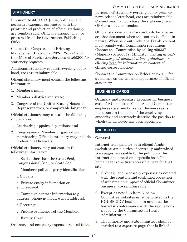#### <span id="page-22-0"></span>**STATIONERY**

Pursuant to 44 U.S.C. § 734, ordinary and necessary expenses associated with the printing and production of official stationery are reimbursable. Official stationery may be procured from the Government Publishing Office.

Contact the Congressional Printing Management Division at 202-512-0224 and the Office of Publication Services at x65200 for stationery requests.

Additional stationery requests (writing paper, bond, etc.) are reimbursable.

Official stationery must contain the following information:

- 1. Member's name;
- 2. Member's district and state;
- 3. Congress of the United States, House of Representatives, or comparable language;

Official stationary may contain the following information:

- 1. Leadership-appointed positions; and
- 2. Congressional Member Organization membership.Official stationery may include professional license(s).

Official stationery may not contain the following information:

a. Seals other than the Great Seal, Congressional Seal, or State Seal.

b. Member's political party identification.

c. Slogans.

d. Private entity information or endorsement.

e. Campaign contact information (e.g. address, phone number, e-mail address).

f. Greetings.

- g. Picture or likeness of the Member.
- h. Family Crest.

Ordinary and necessary expenses related to the

purchase of stationery (writing paper, press or news release letterhead, etc.) are reimbursable. Committees may purchase the stationery from OPS or an outside vendor.

Official stationery may be used only for a letter or other document when the content is official in nature. When sent out under the Frank, content must comply with Commission regulations. Contact the Commission by calling x59337 (Majority) or x60647 (Minority), visiting *https:// cha.house.gov/communications-guidelines* or clicking here for information on content of official correspondence.

Contact the Committee on Ethics at x57103 for guidelines on the use and appearance of official stationery.

#### **BUSINESS CARDS**

Ordinary and necessary expenses for business cards for Committee Members and Committee employees are reimbursable. Business cards must contain the name of the employing authority and accurately describe the position to which the employee has been appointed.

#### **WEBSITES**

#### **General**

Internet sites paid for with official funds (websites) are a series of centrally maintained Web pages, accessible to the public via the Internet and stored on a specific host. The home page is the first accessible page for that site.

- 1. Ordinary and necessary expenses associated with the creation and continued operation of websites, in support of official Committee business, are reimbursable.
- 2. Except as noted in item 6, below, Committee websites must be located in the HOUSE.GOV host-domain and must be hosted in conformance with the regulations issued by the Committee on House Administration.
- 3. The minority and Subcommittees shall be entitled to a separate page that is linked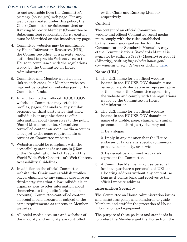<span id="page-23-0"></span>to and accessible from the Committee's primary (house.gov) web page. For any web pages created under this policy, the Chair (Committee or Subcommittee) or Ranking Minority Member (Committee or Subcommittee) responsible for its content must be identified on the introductory page.

- 4. Committee websites may be maintained by House Information Resources (HIR), the Committee office, or a private vendor authorized to provide Web services to the House in compliance with the regulations issued by the Committee on House Administration.
- 5. Committee and Member websites may link to each other, but Member websites may not be located on websites paid for by Committee funds.
- 6. In addition to their official HOUSE.GOV website, a Committee may establish profiles, pages, channels or any similar presence on third-party sites that allow individuals or organizations to offer information about themselves to the public (Social Media Accounts). Committeecontrolled content on social media accounts is subject to the same requirements as content on Committee websites.
- 7. Websites should be compliant with the accessibility standards set out in § 508 of the Rehabilitation Act of 1973 and the World Wide Web Consortium's Web Content Accessibility Guidelines.
- 8. In addition to the official Committee website, the Chair may establish profiles, pages, channels or any similar presence on third-party sites that allow individuals or organizations to offer information about themselves to the public (social media accounts). Committee-controlled content on social media accounts is subject to the same requirements as content on Member websites.
- 9. All social media accounts and websites of the majority and minority are controlled

by the Chair and Ranking Member respectively.

#### **Content**

The content of an official Committee website and official Committee social media must comply with the rules established by the Commission and set forth in the Communications Standards Manual. A copy of the Communications Standards Manual is available by calling x59337 (Majority) or x60647 (Minority), visiting *https://cha.house.gov/ communications-guidelines* or clicking here.

#### **Name (URL)**

- 1. The URL name for an official website located in the HOUSE.GOV domain must be recognizably derivative or representative of the name of the Committee sponsoring the website and comply with the regulations issued by the Committee on House Administration.
- 2. The URL name for an official website located in the HOUSE.GOV domain or name of a profile, page, channel or similar presence on a third party site may not:
	- 1. Be a slogan.

2. Imply in any manner that the House endorses or favors any specific commercial product, commodity, or service.

3. Be deceptive and must accurately represent the Committee.

3. A Committee Member may use personal funds to purchase a personalized URL as a locating address without any content, so long as it points back and resolves to the official website address.

#### **Information Security**

The Committee on House Administration issues and maintains policy and standards to guide Members and staff for the protection of House information and equipment.

The purpose of these policies and standards is to protect the Members and the House from the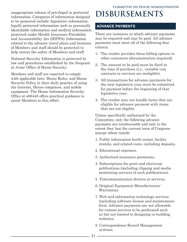<span id="page-24-0"></span>inappropriate release of privileged or protected information. Categories of information designed to be protected include: legislative information, legally protected information such as personally identifiable information and medical information protected under Health Insurance Portability and Accountability Act (HIPPA). Information related to the advance travel plans and locations of Members and staff should be protected to help ensure the safety of Members and staff.

National Security Information is protected by law and procedures established by the Sergeant at Arms' Office of House Security.

Members and staff are expected to comply with applicable laws, House Rules, and House Security Policy in their daily practice of using the Internet, House computers, and mobile equipment. The House Information Security Office at x66448 offers practical guidance to assist Members in this effort.

## **Committee on House Administration DISBURSEMENTS**

#### **ADVANCE PAYMENTS**

There are instances in which advance payments may be required and may be paid. All advance payments must meet all of the following four criteria:

- 1. The vendor provides these billing options to other customers (documentation required).
- 2. The amount to be paid must be fixed at the time of purchase (i.e., variable cost contracts or services are ineligible).
- 3. All transactions for advance payments for the next legislative year must be submitted for payment before the beginning of that legislative year.
- 4. The vendor may not bundle items that are eligible for advance payment with items that are not eligible.

Unless specifically authorized by the Committee, only the following advance payments are reimbursable and only to the extent they last the current term of Congress (except where noted):

- 1. Public information booth rental, facility rentals, and related costs, excluding deposits.
- 2. Educational expenses.
- 3. Authorized insurance premiums.
- 4. Subscriptions for print and electronic publications (including clipping and media monitoring services of such publications).
- 5. Telecommunication devices or services.
- 6. Original Equipment Manufacturers' Warranties.
- 7. Web and information technology services (including software license and maintenance fees). Advance payments are not allowable for custom services to be performed such as but not limited to designing or building websites.
- 8. Correspondence Record Management systems.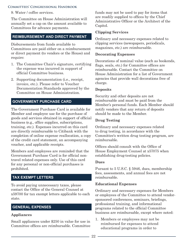<span id="page-25-0"></span>9. Water / coffee services.

The Committee on House Administration will annually set a cap on the amount available to Committees for advance payments.

#### **REIMBURSEMENT AND DIRECT PAYMENT**

Disbursements from funds available to Committees are paid either on a reimbursement or direct payment (to vendors or the House) and require:

- 1. The Committee Chair's signature, certifying the expense was incurred in support of official Committee business.
- 2. Supporting documentation (i.e., receipt, invoice, etc.). Please refer to Voucher Documentation Standards approved by the Committee on House Administration.

#### **GOVERNMENT PURCHASE CARD**

The Government Purchase Card is available for Member and employee use for the purchase of goods and services obtained in support of official business (e.g., office supplies, subscriptions, training, etc.). Expenses incurred on this card are directly reimbursable to Citibank with the completion of online expense reallocation, a copy of the credit card statement, an accompanying voucher, and applicable receipts.

Members and employees are reminded that the Government Purchase Card is for official nontravel related expenses only. Use of this card for any personal or non-official purchases is prohibited.

#### **TAX EXEMPT LETTERS**

To avoid paying unnecessary taxes, please contact the Office of the General Counsel at x59700 for tax exempt letters applicable to each state.

#### **GENERAL EXPENSES**

#### **Appliances**

Small appliances under \$250 in value for use in Committee offices are reimbursable. Committee funds may not be used to pay for items that are readily supplied to offices by the Chief Administrative Officer or the Architect of the Capitol.

#### **Clipping Services**

Ordinary and necessary expenses related to clipping services (newspapers, periodicals, magazines, etc.) are reimbursable.

#### **Decorating Expenses**

Decorations of nominal value (such as bookends, flags, seals, etc.) for Committee offices are reimbursable. Contact the Committee on House Administration for a list of Government agencies that provide wall decorations free of charge.

#### **Deposits**

Security and other deposits are not reimbursable and must be paid from the Member's personal funds. Each Member should notify vendors that any return of deposits should be made to the Member.

#### **Drug Testing**

Ordinary and necessary expenses related to drug testing, in accordance with the Committee's written drug testing program, are reimbursable.

Offices should consult with the Office of House Employment Counsel at x57075 when establishing drug-testing policies.

#### **Dues**

Pursant to 5 U.S.C. § 5946, dues, membership fees, assessments, and annual fees are not reimbursable.

#### **Educational Expenses**

Ordinary and necessary expenses for Members or employees of the Committee to attend vendorsponsored conferences, seminars, briefings, professional training, and informational programs related to the official Committee business are reimbursable, except where noted:

1. Members or employees may not be reimbursed for expenses to attend educational programs in order to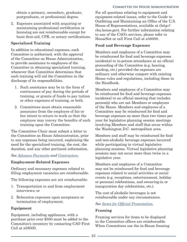<span id="page-26-0"></span>obtain a primary, secondary, graduate, postgraduate, or professional degree.

2. Expenses associated with acquiring or maintaining professional certification or licensing are not reimbursable except for basic first-aid, CPR, or notary certifications.

#### **Specialized Training**

In addition to educational expenses, each Committee is authorized, with the approval of the Committee on House Administration, to provide assistance to employees of the Committee in obtaining specialized training, whenever that Committee determines that such training will aid the Committee in the discharge of its responsibilities.

- 1. Such assistance may be in the form of continuance of pay during the periods of training, or grants of funds to pay tuition or other expenses of training, or both.
- 2. Committees must obtain reasonable assurance from the employee of his or her intent to return to work so that the employee may convey the benefits of such training upon the Committee.

The Committee Chair must submit a letter to the Committee on House Administration, prior to any expenses being incurred, explaining the need for the specialized training, the cost, the duration, and any other pertinent information.

#### *See [Advance Payments](#page-23-0) and [Contractors.](#page-7-0)*

#### **Employment-Related Expenses**

Ordinary and necessary expenses related to filling employment vacancies are reimbursable.

The following expenses are not reimbursable:

- 1. Transportation to and from employment interviews; or
- 2. Relocation expenses upon acceptance or termination of employment.

#### **Equipment**

Equipment, including appliances, with a purchase price over \$500 must be added to the Committee's inventory by contacting CAO First Call at x58000.

For all questions relating to equipment and equipment-related issues, refer to the Guide to Outfitting and Maintaining an Office of the U.S. House of Representatives, available at (http:// cha.house.gov). For further information relating to any of the CAO's services, please refer to HouseNet or call First Call at x58000.

#### **Food and Beverage Expenses**

Members and employees of a Committee may be reimbursed for food and beverage expenses incidental to in-person attendance at an official proceeding of the Committee (e.g. hearing, markup, etc.) provided the expenses are ordinary and otherwise comport with existing House rules and regulations, including those in the Handbook.

Members and employees of a Committee may be reimbursed for food and beverage expenses incidental to an official meeting that includes person(s) who are not Members or employees of the House. Members and employees of a Committee may be reimbursed for food and beverage expenses no more than two times per year for legislative planning session meetings involving Members and staff that occur within the Washington D.C. metropolitan area.

Members and staff may be reimbursed for food and non-alcoholic beverage expenses incurred while participating in virtual legislative planning sessions. Virtual legislative planning sessions may not occur more than twice in a legislative year.

Members and employees of a Committee may not be reimbursed for food and beverage expenses related to social activities or social events (e.g. receptions, entertainment, holiday or personal celebrations, and swearing-in or inauguration day celebrations, etc.).

The cost of alcoholic beverages is not reimbursable under any circumstances.

#### *See Items for Official Presentation.*

#### **Framing**

Framing services for items to be displayed in the Committee offices are reimbursable. When Committees use the in-House framing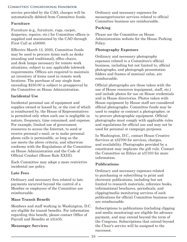<span id="page-27-0"></span>service provided by the CAO, charges will be automatically debited from Committee funds.

#### **Furniture**

Furniture (e.g., furniture, rugs, carpet, draperies, repairs, etc.) for Committee offices is supplied and maintained by the CAO through First Call at x58000.

Effective March 13, 2020, Committee funds may be used to procure items such as desks (standing and traditional), office chairs, and desk lamps necessary for remote work situations, subject to any applicable telework requirements. Offices are required to maintain an inventory of items used in remote work locations. The purchase of any single item exceeding \$250.00 is subject to preapproval by the Committee on House Administration.

#### **Incidental Use**

Incidental personal use of equipment and supplies owned or leased by, or the cost of which is reimbursed by, the House of Representatives is permitted only when such use is negligible in nature, frequency, time consumed, and expense. For example, limited use of government resources to access the Internet, to send or receive personal e-mail, or to make personal phone calls is permissible, so long as the use meets the above criteria, and otherwise conforms with the Regulations of the Committee on House Administration and the Code of Official Conduct (House Rule XXIII).

Each Committee may adopt a more restrictive incidental use policy.

#### **Late Fees**

Ordinary and necessary fees related to late payments incurred beyond the control of a Member or employees of the Committee are reimbursable.

#### **Mass Transit Benefit**

Members and staff working in Washington, D.C. are eligible for transit benefits. For information regarding this benefit, please contact Office of Payroll and Benefits at x51435.

#### **Messenger Services**

Ordinary and necessary expenses for messenger/courier services related to official Committee business are reimbursable.

#### **Parking**

Please see the Committee on House Administration website for the House Parking Policy.

#### **Photography Expenses**

Ordinary and necessary photography expenses related to a Committee's official business, including but not limited to, official photographs, and photograph presentation folders and frames of nominal value, are reimbursable.

Official photographs are those taken with the use of House resources (equipment, staff, etc.) and include photos for use on House credentials and in House directories. Photos taken with House equipment by House staff are considered official photographs. Committee funds may be used to employ or contract a photographer, or to procure photographic equipment. Official photographs must comply with applicable rules and regulations for official use and may not be used for personal or campaign purposes.

In Washington, D.C., contact House Creative Services at x52700 for services, charges, and availability. Photographs provided by a constituent may implicate the gift rule. Contact the Committee on Ethics at x57103 for more information.

#### **Publications**

Ordinary and necessary expenses related to purchasing or subscribing to print and electronic publications, including but not limited to research materials, reference books, informational brochures, periodicals, and clipping/media monitoring services of such publications for official Committee business use are reimbursable.

Subscriptions to publications (including clipping and media monitoring) are eligible for advance payment, and may extend beyond the term of the Congress. Subscriptions that extend beyond the Chair's service will be assigned to the successor.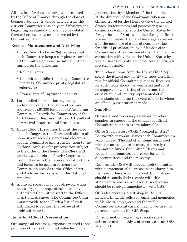<span id="page-28-0"></span>All invoices for these subscriptions received by the Office of Finance through the close of business January 2 will be debited from the current Committee session year. Subscriptions beginning on January 1 or 2 may be debited from either session year, as directed by the Committee Chair.

#### **Records Maintenance and Archiving**

- 1. House Rule XI, clause 2(e) requires that each Committee keep a complete record of all Committee actions, including, but not limited to, the following:
	- Roll call votes
	- Committee publications (e.g., Committee hearings, Committee prints, legislative calendars)
	- Transcripts of unprinted hearings
- 2. For detailed information regarding archiving, contact the Office of Art and Archives at x61300 for a copy of Archiving Committee Records for Committees of the U.S. House of Representatives: A Handbook of Archival Practices and Procedures.
- 3. House Rule VII requires that at the close of each Congress, the Clerk shall obtain all non-current records, paper and electronic, of each Committee and transfer them to the National Archives for preservation subject to the order of the House. The Clerk will provide, at the close of each Congress, each Committee with the necessary instructions and forms to be used in retiring the Committee's records to the Office of Art and Archives for transfer to the National Archives.
- 4. Archived records may be retrieved, when necessary, upon request submitted by authorized Committee staff to the Office of Art and Archives. The Committee Chair must provide to the Clerk a list of staff authorized to request the retrieval of archived records.

#### **Items for Official Presentation**

Ordinary and necessary expenses related to the purchase of items of nominal value for official

presentation, by a Member of the Committee at the direction of the Chairman, when on official travel for the House outside the United States, its territories and possessions; or in connection with visits to the United States by foreign heads of State and other foreign officials are reimbursable. Food and beverage expenses and the purchase of items of nominal value for official presentation, by a Member of the Committee at the direction of the Chairman, in connection with visits to the United States by foreign heads of State and other foreign officials are reimbursable.

To purchase items from the House Gift Shop, select the item(s) and notify the sales clerk that it is for official Committee business. Receipts for such items should be vouchered and must be supported by a listing of the name, title or position, and country represented of all individuals attending the event and/or to whom an official presentation is made.

#### **Supplies**

Ordinary and necessary expenses for office supplies in support of the conduct of official Committee business are reimbursable.

Office Supply Store ("OSS") located in B-217 Longworth at x53321 issues each Committee an account card. The cost of all items purchased with the account card is charged directly to Committee funds. Committee Chairs may request additional account cards for use by Subcommittees and the minority.

Each month, OSS will provide each Committee with a statement of all transactions charged to the Committee's account card(s). Committees should reconcile their records with this statement to ensure accuracy. Discrepancies should be resolved immediately with OSS.

OSS also operates a gift shop in B-217A Longworth which sells souvenirs and mementos to Members, employees and the public. Committee account card(s) may not be used to purchase items at the Gift Shop.

For information regarding special orders, deliveries and monthly statements, contact OSS at x53321.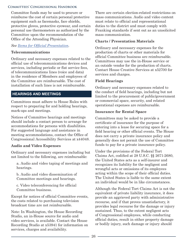<span id="page-29-0"></span>Committee funds may be used to procure or reimburse the cost of certain personal protective equipment such as facemasks, face shields, protective gloves, protective eyewear, and certain personal use thermometers as authorized by the Committee upon the recommendation of the Office of the Attending Physician.

#### *See [Items for Official Presentation](#page-26-0).*

#### **Telecommunications**

Ordinary and necessary expenses related to the official use of telecommunications devices and services, including periodic or flat service fees, of telecommunications lines (voice and data) in the residence of Members and employees of the Committee are reimbursable. The cost of installation of such lines is not reimbursable.

#### **HEARINGS AND MEETINGS**

Committees must adhere to House Rules with respect to preparing for and holding hearings, mark-ups and meetings.

Notices of Committee hearings and meetings should include a contact person to arrange for accommodations for persons with disabilities. For suggested language and assistance in meeting accommodations, contact the Office of Congressional Accessibility Services at x44048.

#### **Audio and Video Expenses**

Ordinary and necessary expenses including but not limited to the following, are reimbursable:

a. Audio and video taping of meetings and hearings.

b. Audio and video dissemination of Committee meetings and hearings.

c. Video teleconferencing for official Committee business.

Except for notices of official Committee events, the costs related to purchasing television broadcast time are not reimbursable.

Note: In Washington, the House Recording Studio, an in-House source for audio and video services, is available. Contact the House Recording Studio at x53941 for information on services, charges and availability.

There are certain election-related restrictions on mass communications. Audio and video content must relate to official and representational duties to the district and must comply with Franking standards if sent out as an unsolicited mass communication.

#### **Charts / Presentation Materials**

Ordinary and necessary expenses for the production of charts or other materials for official Committee business are reimbursable. Committees may use the in-House service or an outside vendor for the production of charts. Contact House Creative Services at x52700 for services and charges.

#### **Field Hearings**

Ordinary and necessary expenses related to the conduct of field hearings, including but not limited to the procurement of public/government or commercial space, security, and related operational expenses are reimbursable.

#### **Insurance for Rental Space**

Committees may be asked to provide a certificate of insurance for the purpose of entering into a lease for securing space for a field hearing or other official events. The House does not carry a private insurance policy and generally does not permit the use of Committee funds to pay for a private insurance policy.

Under the provisions of the Federal Tort Claims Act, codified at 28 U.S.C. §§ 2671-2680, the United States acts as a self-insurer and recognizes its liability for the negligent and wrongful acts or omissions of its employees acting within the scope of their official duties. The United States is liable to the same extent an individual would be in like circumstances.

Although the Federal Tort Claims Act is not the equivalent of private liability insurance, it does provide an aggrieved party with administrative recourse, and if that proves unsatisfactory, it provides legal recourse for the damage or injury sustained. Thus, to the extent negligent acts of Congressional employees, while conducting official duties, result in either property damage or bodily injury, such damage or injury should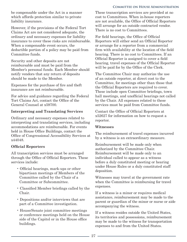<span id="page-30-0"></span>be compensable under the Act in a manner which affords protection similar to private liability insurance.

However, if the provisions of the Federal Tort Claims Act are not considered adequate, the ordinary and necessary expenses for liability insurance to cover these risks are reimbursable. When a compensable event occurs, the deductible portion of a policy may be paid from Committee funds.

Security and other deposits are not reimbursable and must be paid from the Member's personal funds. Each Member should notify vendors that any return of deposits should be made to the Member.

Expenses for the purchase of fire and theft insurance are not reimbursable.

For advice and guidance regarding the Federal Tort Claims Act, contact the Office of the General Counsel at x59700.

#### **Interpreting and Translating Services**

Ordinary and necessary expenses related to interpreting and translating services, including accommodations are reimbursable. For events held in House Office Buildings, contact the Office of Congressional Accessibility Services at x44048.

#### **Official Reporters**

All transcription services must be arranged through the Office of Official Reporters. These services include:

- Official hearings, mark-ups or other bipartisan meetings of Members of the Committee called by the Chair of a Committee or Subcommittee.
- Classified Member briefings called by the Chair.
- Depositions and/or interviews that are part of a Committee investigation.
- House/Senate joint committee meetings or conference meetings held on the House side of the Capitol or in the House office buildings.

These transcription services are provided at no cost to Committees. When in-house reporters are not available, the Office of Official Reporters will arrange for an outside contracted vendor. There is no cost to Committees.

For field hearings, the Office of Official Reporters will either send an Official Reporter or arrange for a reporter from a commercial firm with availability at the location of the field hearing. There is no cost to Committees. If an Official Reporter is assigned to cover a field hearing, travel expenses of the Official Reporter will be paid for by the Office of the Clerk.

The Committee Chair may authorize the use of an outside reporter, at direct cost to the Committee, for meetings other than those that the Official Reporters are required to cover. These include open Committee briefings, town hall meetings, and unofficial hearings not called by the Chair. All expenses related to these services must be paid from Committee funds.

Contact the Office of Official Reporters at x52627 for information on how to request a reporter.

#### **Witnesses**

The reimbursement of travel expenses incurred by a witness is an extraordinary measure.

Reimbursement will be made only when authorized by the Committee Chair. Reimbursement will be made only to an individual called to appear as a witness before a duly constituted meeting or hearing under House Rules or a duly constituted staff deposition.

Witnesses may travel at the government rate when the Committee is reimbursing for travel expenses.

If a witness is a minor or requires medical assistance, reimbursement may be made to the parent or guardian of the minor or nurse or aide accompanying the witness.

If a witness resides outside the United States, its territories and possessions, reimbursement may be made to the witness for transportation expenses to and from the United States.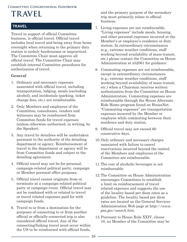# <span id="page-31-0"></span>**TRAVEL**

#### **TRAVEL**

Travel in support of official Committee business, is official travel. Official travel includes local travel and being away from home overnight when returning to the primary duty station is unduly burdensome or impractical. The Committee Chair must approve all official travel. The Committee Chair may establish internal Committee procedures for authorization of travel.

#### **General**

- 1. Ordinary and necessary expenses associated with official travel, including transportation, lodging, meals (excluding alcohol), and incidentals (parking, ticket change fees, etc.) are reimbursable.
- 2. Only Members and employees of the Committee, consultants, vendors and witnesses may be reimbursed from Committee funds for travel expenses (unless otherwise authorized, in writing, by the Speaker).
- 3. Any travel by detailees will be undertaken pursuant to the authority of the detailing department or agency. Reimbursement of travel to the department or agency will be from Committee funds and subject to the detailing agreement.
- 4. Official travel may not be for personal, campaign-related political party, campaign or Member personal office purposes.
- 5. Official travel cannot originate from or terminate at a campaign-related political party or campaign event. Official travel may not be combined with or related to travel or travel related expenses paid for with campaign funds.
- 6. Travel to or from a destination for the purposes of connecting to or from another official or officially-connected trip is also considered official travel. Any of the connecting/linking travel must occur within the US to be reimbursed with official funds,

and the primary purpose of the secondary trip must primarily relate to official business.

- 7. Living expenses are not reimbursable. "Living expenses" include meals, housing, and other personal expenses incurred at the Member's or employee's residence or duty station. In extraordinary circumstances (e.g., extreme weather conditions, staff working beyond availability of mass transit, etc.) please contact the Committee on House Administration at x52061 for guidance.
- 8. Commuting expenses are not reimbursable, except in extraordinary circumstances (e.g., extreme weather conditions, staff working beyond availability of mass transit, etc.) when a Chairman receives written authorization from the Committee on House Administration. Commuting expenses are reimbursable through the House Alternate Ride Home program found on HouseNet. "Commuting expenses" are transportation expenses incurred by the Member or employee while commuting between their residence and duty station.
- 9. Official travel may not exceed 60 consecutive days.
- 10.Only ordinary and necessary charges associated with failure to cancel reservations incurred beyond the control of the Members and employees of the Committee are reimbursable.
- 11.The cost of alcoholic beverages is not reimbursable.
- 12.The Committee on House Administration encourages Committees to establish a limit on reimbursement of travel related expenses and suggests the use of the locality based per diem rates as a guideline. The locality based per diem rates are located on the General Services Administration Web page at h*ttp://www. gsa.gov/search.htm.*
- 13.Pursuant to House Rule XXIV, clause 10, no Member of the Committee may be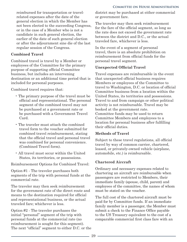<span id="page-32-0"></span>reimbursed for transportation or travelrelated expenses after the date of the general election in which the Member has not been elected to the succeeding Congress, or in the case of a Member who is not a candidate in such general election, the earlier of the date of such general election or after the adjournment sine die of the last regular session of the Congress.

#### **Combined Travel**

Combined travel is travel by a Member or employees of the Committee for the primary purpose of supporting official Committee business, but includes an intervening destination or an additional time period that is included for personal purposes.

Combined travel requires that:

- The primary purpose of the travel must be official and representational. The personal segment of the combined travel may not be purchased at a government rate or be purchased with a Government Travel Card.
- The traveler must attach the combined travel form to the voucher submitted for combined travel reimbursement, stating that the official travel and personal travel was combined for personal convenience. (Combined Travel form).
- All travel must occur within the United States, its territories, or possessions.

Reimbursement Options for Combined Travel:

Option #1 - The traveler purchases both segments of the trip with personal funds at the commercial rate.

The traveler may then seek reimbursement for the government rate of the direct route and means to the destination required for official and representational business, or the actual traveled fare; whichever is less.

Option #2 - The traveler purchases the initial "personal" segment of the trip with personal funds at the commercial rate (no reimbursement is sought for this segment). The next "official" segment to either D.C. or the district may be purchased at either commercial or government fare.

The traveler may then seek reimbursement for the fare of the official segment, so long as the rate does not exceed the government rate between the district and D.C., or the actual traveled fare, whichever is less.

In the event of a segment of personal travel, there is an absolute prohibition on reimbursement from official funds for the personal travel segment.

#### **Unexpected Official Travel**

Travel expenses are reimbursable in the event that unexpected official business requires Members or employees of the Committee to travel to Washington, D.C. or location of official Committee business from a location within the United States, its territories and possessions. Travel to and from campaign or other political activity is not reimbursable. Travel may be booked at the government rate. Committee funds may be used to return Committee Members and employees to a location for personal business after fulfilling their official duties.

#### **Methods of Travel**

Subject to these travel regulations, all official travel by way of common carrier, chartered, leased, or privately-owned vehicle (airplane, automobile, etc.) is reimbursable.

#### **Chartered Aircraft**

Ordinary and necessary expenses related to chartering an aircraft are reimbursable when passengers are restricted to Members, their immediate family (spouse, child, parent) and employees of the committee, the names of whom must be stated on the voucher.

The full cost of the chartered aircraft must be paid for by Committee funds. If an immediate family member is a passenger, the Member must submit a check to the Finance Office payable to the US Treasury equivalent to the cost of a comparable commercial first class fare with an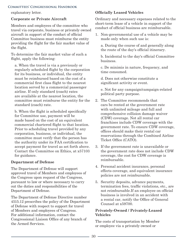<span id="page-33-0"></span>explanatory letter.

#### **Corporate or Private Aircraft**

Members and employees of the committee who travel via corporate, business or privately owned aircraft in support of the conduct of official Committee business must reimburse the entity providing the flight for the fair market value of the flight.

To determine the fair market value of such a flight, apply the following:

a. When the travel is via a previously or regularly scheduled flight by the corporation for its business, or individual, the entity must be reimbursed based on the cost of a commercial first class flight to the nearest location served by a commercial passenger airline. If only standard (coach) rates are available at the nearest location, the committee must reimburse the entity for the standard (coach) rate.

b. When the flight is scheduled specifically for Committee use, payment will be made based on the cost of an equivalent commercial chartered flight to that location. Prior to scheduling travel provided by any corporation, business, or individual, the committee must verify that the person has the authority under its FAA certification to accept payment for travel as set forth above. Contact the Committee on Ethics, at x57103 for guidance.

#### **Department of Defense**

The Department of Defense will support approved travel of Members and employees of the Congress upon request of the Congress, pursuant to law or where necessary to carry out the duties and responsibilities of the Department of Defense.

The Department of Defense Directive number 4515.12 prescribes the policy of the Department of Defense with respect to support for travel of Members and employees of Congress. For additional information, contact the Congressional Liaison Office of any branch of the Armed Services.

#### **Officially Leased Vehicles**

Ordinary and necessary expenses related to the short-term lease of a vehicle in support of the conduct of official business are reimbursable.

1. Non-governmental use of a vehicle may be made only when such use is:

a. During the course of and generally along the route of the day's official itinerary.

b. Incidental to the day's official Committee business.

c. De minimis in nature, frequency, and time consumed.

d. Does not otherwise constitute a significant activity or event.

e. Not for any campaign/campaign-related political party purpose.

- 2. The Committee recommends that cars be rented at the government rate with unlimited mileage and full and comprehensive collision damage waiver (CDW) coverage. Not all rental car franchises include CDW coverage with the government rate. To ensure CDW coverage, offices should make their rental car reservations through the Combined Airline Ticket Office (CATO).
- 3. If the government rate is unavailable or the government rate does not include CDW coverage, the cost for CDW coverage is reimbursable.
- 4. Personal accident insurance, personal effects coverage, and equivalent insurance policies are not reimbursable.
- 5. Security deposits, advance payments, termination fees, traffic violations, etc., are not reimbursable.If an employee on official business is involved in an accident with a rental car, notify the Office of General Counsel at x59700.

#### **Privately-Owned / Privately-Leased Vehicles**

The costs of transportation by Member or employee via a privately owned or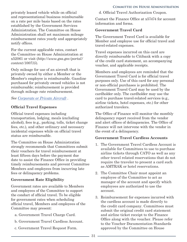<span id="page-34-0"></span>privately leased vehicle while on official and representational business reimbursable on a rate per mile basis based on the rates established by the Government Services Administration. The Committee on House Administration shall set maximum mileage reimbursement rates yearly and appropriately notify offices.

For the current applicable rates, contact the Committee on House Administration at x52061 or visit (*http://www.gsa.gov/portal/ content/100715*).

Only mileage for use of an aircraft that is privately owned by either a Member or the Member's employee is reimbursable. Gasoline purchased for privately owned vehicles is not reimbursable; reimbursement is provided through mileage rate reimbursement.

*See [Corporate or Private Aircraft](#page-30-0) .*

#### **Official Travel Expenses**

Official travel expenses including transportation, lodging, meals (excluding alcohol), fees (e.g., parking, tolls, ticket change fees, etc.), and other ordinary and necessary incidental expenses while on official travel status are reimbursable.

The Committee on House Administration strongly recommends that Committees submit their vouchers for travel reimbursement at least fifteen days before the payment due date to assist the Finance Office in providing timely reimbursements and prevent Committee Members and employees from incurring late fees or delinquency problems.

#### **Government Rate Eligibility**

Government rates are available to Members and employees of the Committee to support the conduct of official travel. To be eligible for government rates when scheduling official travel, Members and employees of the Committee may present:

- a. Government Travel Charge Card.
- b. Government Travel Cardless Account.
- c. Government Travel Request Form.

d. Official Travel Authorization Coupon.

Contact the Finance Office at x57474 for account information and forms.

#### **Government Travel Card**

The Government Travel Card is available for Member and employee use for official travel and travel-related expenses.

Travel expenses incurred on this card are directly reimbursable to Citibank with a copy of the credit card statement, an accompanying voucher, and applicable receipts.

Members and employees are reminded that the Government Travel Card is for official travel purposes only. Use of this card for any personal or non-official purchases is prohibited. The Government Travel Card may be used by the cardholder only. The cardholder may use the card to purchase travel-related services (e.g., airline tickets, hotel expenses, etc.) for other authorized travelers.

The Office of Finance will monitor the monthly delinquency report received from the vendor and alert offices of delinquencies. The Office of Finance will not intervene with the vendor in the event of a delinquency.

#### **Government Travel Cardless Accounts**

- 1. The Government Travel Cardless Account is available for Committees to use to purchase airline tickets through CATO as well as any other travel related reservations that do not require the traveler to present a card such as AMTRAK or hotel reservations.
- 2. The Committee Chair must appoint an employee of the Committee to act as manager of the account and specify which employees are authorized to use the account.
- 3. Reimbursement for expenses incurred with the cardless account is made directly to the credit card company. Committees must submit the original credit card statement and airline ticket receipt to the Finance Office along with the voucher. Please refer to the Voucher Documentation Standards approved by the Committee on House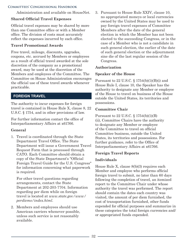<span id="page-35-0"></span>Administration and available on HouseNet.

#### **Shared Official Travel Expenses**

Official travel expenses may be shared by more than one Committee office or with a Member office. The division of costs must accurately reflect the expenses incurred by each office.

#### **Travel Promotional Awards**

Free travel, mileage, discounts, upgrades, coupons, etc. accrued by Members or employees as a result of official travel awarded at the sole discretion of the company as a promotional award, may be used at the discretion of the Members and employees of the Committee. The Committee on House Administration encourages the official use of these travel awards whenever practicable.

#### **FOREIGN TRAVEL**

The authority to incur expenses for foreign travel is contained in House Rule X, clause 8, 22 U.S.C. § 1754, and in other provisions of law.

For further information contact the office of Interparliamentary Affairs at x61766.

#### **General**

1. Travel is coordinated through the State Department Travel Office. The State Department will issue a Government Travel Request Form that is processed through CATO. Each Committee should obtain a copy of the State Department's "Official Foreign Travel Guide for the U.S. Congress" for information concerning what paperwork is required.

For other travel questions regarding arrangements, contact the State Department at 202-203-7704. Information regarding per diem while on foreign travel is located at *www.state.gov/www/ perdiems/index.html*.

2. Members and employees should use American carriers whenever possible, unless such service is not reasonably available.

3. Pursuant to House Rule XXIV, clause 10, no appropriated moneys or local currencies owned by the United States may be used to pay foreign travel expenses of Committee Members after the date of the general election in which the Member has not been elected to the succeeding Congress, or in the case of a Member who is not a candidate in such general election, the earlier of the date of such general election or the adjournment sine die of the last regular session of the Congress.

#### **Authorization**

#### **Speaker of the House**

Pursuant to  $22$  U.S.C. §  $1754(b)(1)(B)(i)$  and House Rule I, clause 10, the Speaker has the authority to designate any Member or employee of the House to travel on business of the House outside the United States, its territories and possessions.

#### **Committee Chair**

Pursuant to 22 U.S.C. § 1754(b)(1)(B) (ii), Committee Chairs have the authority to designate any Member or employee of the Committee to travel on official Committee business, outside the United States, its territories and possessions. For further guidance, refer to the Office of Interparliamentary Affairs at x61766.

#### **Foreign Travel Reports**

#### **Individuals**

House Rule X, clause 8(b)(3) requires each Member and employee who performs official foreign travel to submit, no later than 60 days following the completion of travel, an itemized report to the Committee Chair under whose authority the travel was performed. The report should contain the dates each country was visited, the amount of per diem furnished, the cost of transportation furnished, other funds expended for official purposes and summarize in these categories the total foreign currencies and/ or appropriated funds expended.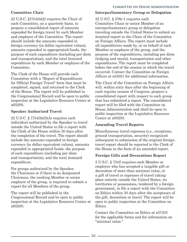#### <span id="page-36-0"></span>**Committee Chair**

22 U.S.C. §1754(b)(2) requires the Chair of each Committee, on a quarterly basis, to prepare a consolidated report of amounts expended for foreign travel by each Member and employee of the Committee. The report should include the amounts expended in foreign currency (in dollar equivalent values), amounts expended in appropriated funds, the purpose of each expenditure (including per diem and transportation), and the total itemized expenditure by each Member or employee of the Committee.

The Clerk of the House will provide each Committee with a "Report of Expenditures for Official Foreign Travel" form that must be completed, signed, and returned to the Clerk of the House. The report will be published in the Congressional Record and be open to public inspection at the Legislative Resource Center at x65200.

#### **Speaker Authorized Travel**

22 U.S.C. § 1754(b)(3)(A) requires each individual authorized by the Speaker to travel outside the United States to file a report with the Clerk of the House within 30 days after the completion of the travel. The report should include the amounts expended in foreign currency (in dollar equivalent values), amounts expended in appropriated funds, the purpose of each expenditure (including per diem and transportation), and the total itemized expenditure.

For groups authorized by the Speaker, the Chairman or if there is no designated Chairman, the ranking Member or senior employee of the group, is required to submit a report for all Members of the group.

The report will be published in the Congressional Record and be open to public inspection at the Legislative Resource Center at x65200.

#### **Interparliamentary Group or Delegation**

22 U.S.C. § 276c-1 requires each Committee Chair or senior Member of an interparliamentary group or delegation traveling outside the United States to submit an itemized report to the Chair of the Committee on Foreign Affairs. The report must include all expenditures made by, or on behalf of each Member or employee of the group, and the purpose of the expenditures, including per diem (lodging and meals), transportation and other expenditures. The report must be completed before the end of the session in which the travel occurred. Contact the Committee on Foreign Affairs at x55021 for additional information.

The Chair of the Committee on Foreign Affairs will, within sixty days after the beginning of each regular session of Congress, prepare a consolidated report with respect to each group that has submitted a report. The consolidated report will be filed with the Committee on House Administration and shall be open to public inspection at the Legislative Resource Center at x65200.

#### **Amending Travel Reports**

Miscellaneous travel expenses (i.e., receptions, ground transportation, security) recognized subsequent to submission of the original foreign travel report should be reported to the Clerk of the House in the form of an amended report.

#### **Foreign Gifts and Decorations Report**

5 U.S.C. § 7342 requires each Member or employee who has accepted a tangible gift or decoration of more than minimal value, or a gift of travel or expenses of travel taking place entirely outside the United States, its territories or possessions, tendered by a foreign government, to file a report with the Committee on Ethics within 30 days after the acceptance of the gift, decoration or travel. The report will be open to public inspection at the Committee on Ethics.

Contact the Committee on Ethics at x57103 for the applicable forms and for information on "minimal value."